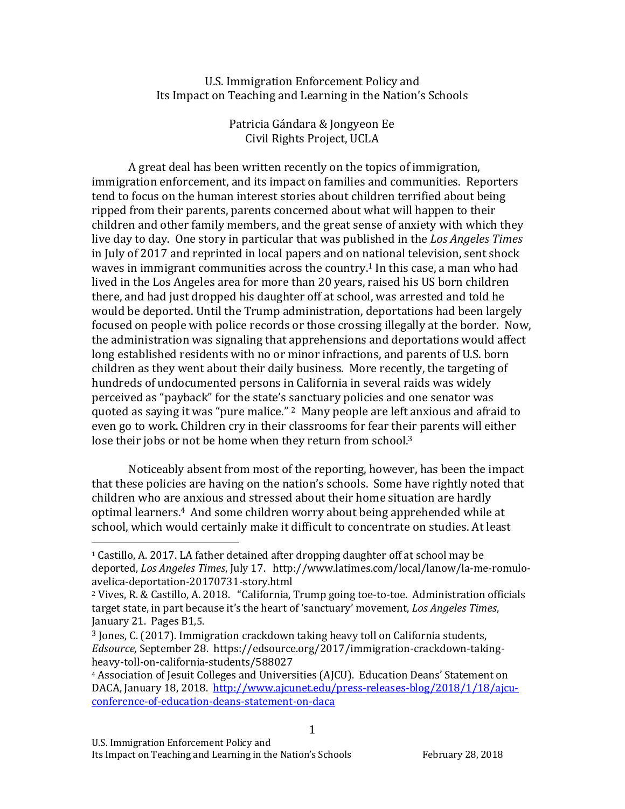U.S. Immigration Enforcement Policy and Its Impact on Teaching and Learning in the Nation's Schools

> Patricia Gándara & Jongyeon Ee Civil Rights Project, UCLA

A great deal has been written recently on the topics of immigration, immigration enforcement, and its impact on families and communities. Reporters tend to focus on the human interest stories about children terrified about being ripped from their parents, parents concerned about what will happen to their children and other family members, and the great sense of anxiety with which they live day to day. One story in particular that was published in the *Los Angeles Times* in July of 2017 and reprinted in local papers and on national television, sent shock waves in immigrant communities across the country.<sup>1</sup> In this case, a man who had lived in the Los Angeles area for more than 20 years, raised his US born children there, and had just dropped his daughter off at school, was arrested and told he would be deported. Until the Trump administration, deportations had been largely focused on people with police records or those crossing illegally at the border. Now, the administration was signaling that apprehensions and deportations would affect long established residents with no or minor infractions, and parents of U.S. born children as they went about their daily business. More recently, the targeting of hundreds of undocumented persons in California in several raids was widely perceived as "payback" for the state's sanctuary policies and one senator was quoted as saying it was "pure malice."  $2$  Many people are left anxious and afraid to even go to work. Children cry in their classrooms for fear their parents will either lose their jobs or not be home when they return from school. $3$ 

Noticeably absent from most of the reporting, however, has been the impact that these policies are having on the nation's schools. Some have rightly noted that children who are anxious and stressed about their home situation are hardly optimal learners.<sup>4</sup> And some children worry about being apprehended while at school, which would certainly make it difficult to concentrate on studies. At least

1

 $1$  Castillo, A. 2017. LA father detained after dropping daughter off at school may be deported, *Los Angeles Times*, July 17. http://www.latimes.com/local/lanow/la-me-romuloavelica-deportation-20170731-story.html

<sup>&</sup>lt;sup>2</sup> Vives, R. & Castillo, A. 2018. "California, Trump going toe-to-toe. Administration officials target state, in part because it's the heart of 'sanctuary' movement, *Los Angeles Times*, January 21. Pages B1,5.

 $3$  Jones, C. (2017). Immigration crackdown taking heavy toll on California students, *Edsource,* September 28. https://edsource.org/2017/immigration-crackdown-takingheavy-toll-on-california-students/588027

<sup>&</sup>lt;sup>4</sup> Association of Jesuit Colleges and Universities (AJCU). Education Deans' Statement on DACA, January 18, 2018. http://www.ajcunet.edu/press-releases-blog/2018/1/18/ajcuconference-of-education-deans-statement-on-daca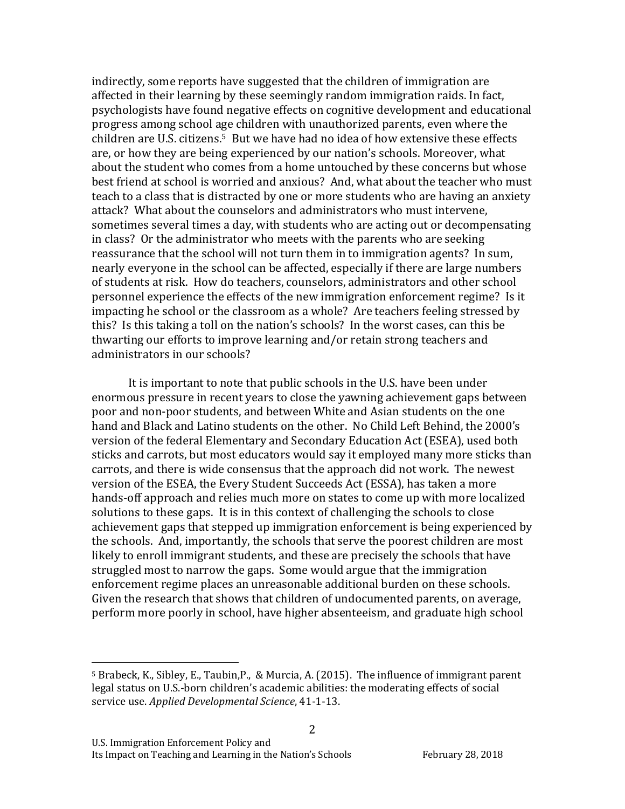indirectly, some reports have suggested that the children of immigration are affected in their learning by these seemingly random immigration raids. In fact, psychologists have found negative effects on cognitive development and educational progress among school age children with unauthorized parents, even where the children are U.S. citizens.<sup>5</sup> But we have had no idea of how extensive these effects are, or how they are being experienced by our nation's schools. Moreover, what about the student who comes from a home untouched by these concerns but whose best friend at school is worried and anxious? And, what about the teacher who must teach to a class that is distracted by one or more students who are having an anxiety attack? What about the counselors and administrators who must intervene, sometimes several times a day, with students who are acting out or decompensating in class? Or the administrator who meets with the parents who are seeking reassurance that the school will not turn them in to immigration agents? In sum, nearly everyone in the school can be affected, especially if there are large numbers of students at risk. How do teachers, counselors, administrators and other school personnel experience the effects of the new immigration enforcement regime? Is it impacting he school or the classroom as a whole? Are teachers feeling stressed by this? Is this taking a toll on the nation's schools? In the worst cases, can this be thwarting our efforts to improve learning and/or retain strong teachers and administrators in our schools?

It is important to note that public schools in the U.S. have been under enormous pressure in recent years to close the yawning achievement gaps between poor and non-poor students, and between White and Asian students on the one hand and Black and Latino students on the other. No Child Left Behind, the 2000's version of the federal Elementary and Secondary Education Act (ESEA), used both sticks and carrots, but most educators would say it employed many more sticks than carrots, and there is wide consensus that the approach did not work. The newest version of the ESEA, the Every Student Succeeds Act (ESSA), has taken a more hands-off approach and relies much more on states to come up with more localized solutions to these gaps. It is in this context of challenging the schools to close achievement gaps that stepped up immigration enforcement is being experienced by the schools. And, importantly, the schools that serve the poorest children are most likely to enroll immigrant students, and these are precisely the schools that have struggled most to narrow the gaps. Some would argue that the immigration enforcement regime places an unreasonable additional burden on these schools. Given the research that shows that children of undocumented parents, on average, perform more poorly in school, have higher absenteeism, and graduate high school

2

<sup>&</sup>lt;sup>5</sup> Brabeck, K., Sibley, E., Taubin, P., & Murcia, A. (2015). The influence of immigrant parent legal status on U.S.-born children's academic abilities: the moderating effects of social service use. *Applied Developmental Science*, 41-1-13.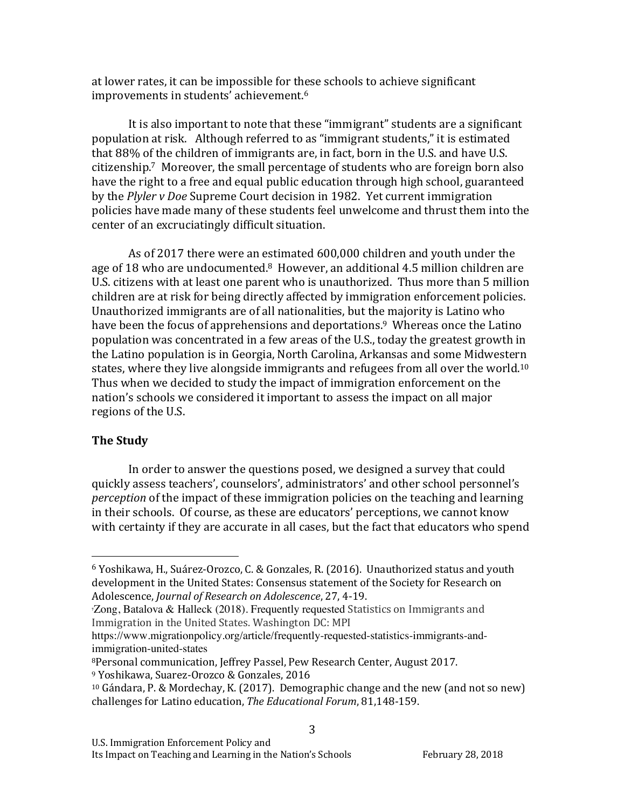at lower rates, it can be impossible for these schools to achieve significant improvements in students' achievement.<sup>6</sup>

It is also important to note that these "immigrant" students are a significant population at risk. Although referred to as "immigrant students," it is estimated that  $88\%$  of the children of immigrants are, in fact, born in the U.S. and have U.S. citizenship.<sup>7</sup> Moreover, the small percentage of students who are foreign born also have the right to a free and equal public education through high school, guaranteed by the *Plyler v Doe* Supreme Court decision in 1982. Yet current immigration policies have made many of these students feel unwelcome and thrust them into the center of an excruciatingly difficult situation.

As of 2017 there were an estimated 600,000 children and youth under the age of 18 who are undocumented.<sup>8</sup> However, an additional 4.5 million children are U.S. citizens with at least one parent who is unauthorized. Thus more than 5 million children are at risk for being directly affected by immigration enforcement policies. Unauthorized immigrants are of all nationalities, but the majority is Latino who have been the focus of apprehensions and deportations.<sup>9</sup> Whereas once the Latino population was concentrated in a few areas of the U.S., today the greatest growth in the Latino population is in Georgia, North Carolina, Arkansas and some Midwestern states, where they live alongside immigrants and refugees from all over the world.<sup>10</sup> Thus when we decided to study the impact of immigration enforcement on the nation's schools we considered it important to assess the impact on all major regions of the U.S.

#### **The Study**

In order to answer the questions posed, we designed a survey that could quickly assess teachers', counselors', administrators' and other school personnel's *perception* of the impact of these immigration policies on the teaching and learning in their schools. Of course, as these are educators' perceptions, we cannot know with certainty if they are accurate in all cases, but the fact that educators who spend

 

 $6$  Yoshikawa, H., Suárez-Orozco, C. & Gonzales, R. (2016). Unauthorized status and youth development in the United States: Consensus statement of the Society for Research on Adolescence, *Journal of Research on Adolescence*, 27, 4-19.

Zong, Batalova & Halleck (2018). Frequently requested Statistics on Immigrants and Immigration in the United States. Washington DC: MPI

https://www.migrationpolicy.org/article/frequently-requested-statistics-immigrants-andimmigration-united-states

<sup>&</sup>lt;sup>8</sup>Personal communication, Jeffrey Passel, Pew Research Center, August 2017.

<sup>&</sup>lt;sup>9</sup> Yoshikawa, Suarez-Orozco & Gonzales, 2016

 $10$  Gándara, P. & Mordechay, K. (2017). Demographic change and the new (and not so new) challenges for Latino education, *The Educational Forum*, 81,148-159.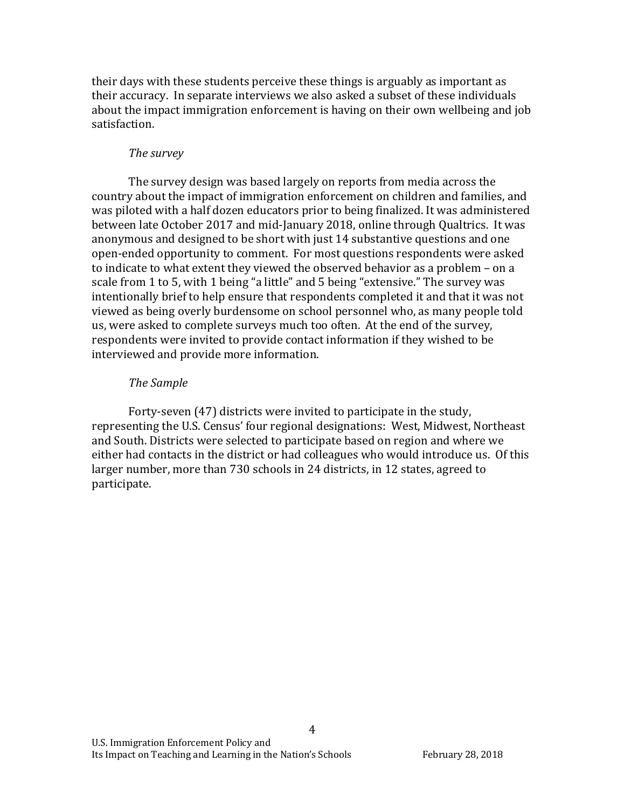their days with these students perceive these things is arguably as important as their accuracy. In separate interviews we also asked a subset of these individuals about the impact immigration enforcement is having on their own wellbeing and job satisfaction.

#### *The survey*

The survey design was based largely on reports from media across the country about the impact of immigration enforcement on children and families, and was piloted with a half dozen educators prior to being finalized. It was administered between late October 2017 and mid-January 2018, online through Qualtrics. It was anonymous and designed to be short with just 14 substantive questions and one open-ended opportunity to comment. For most questions respondents were asked to indicate to what extent they viewed the observed behavior as a problem - on a scale from 1 to 5, with 1 being "a little" and 5 being "extensive." The survey was intentionally brief to help ensure that respondents completed it and that it was not viewed as being overly burdensome on school personnel who, as many people told us, were asked to complete surveys much too often. At the end of the survey, respondents were invited to provide contact information if they wished to be interviewed and provide more information.

#### *The Sample*

Forty-seven (47) districts were invited to participate in the study, representing the U.S. Census' four regional designations: West, Midwest, Northeast and South. Districts were selected to participate based on region and where we either had contacts in the district or had colleagues who would introduce us. Of this larger number, more than 730 schools in 24 districts, in 12 states, agreed to participate.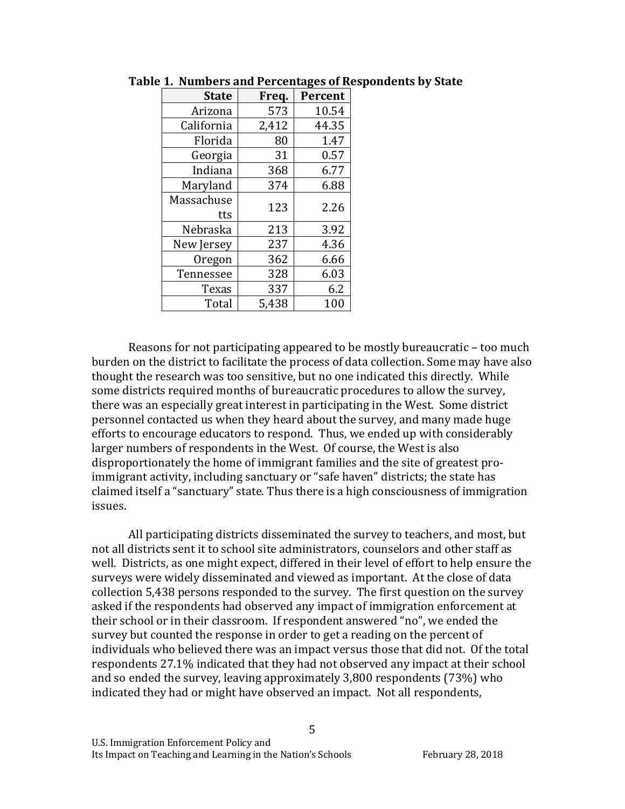| <b>State</b>      | Freq. | Percent |
|-------------------|-------|---------|
| Arizona           | 573   | 10.54   |
| California        | 2,412 | 44.35   |
| Florida           | 80    | 1.47    |
| Georgia           | 31    | 0.57    |
| Indiana           | 368   | 6.77    |
| Maryland          | 374   | 6.88    |
| Massachuse<br>tts | 123   | 2.26    |
| Nebraska          | 213   | 3.92    |
| New Jersey        | 237   | 4.36    |
| Oregon            | 362   | 6.66    |
| Tennessee         | 328   | 6.03    |
| Texas             | 337   | 6.2     |
| Total             | 5,438 | 100     |

Table 1. Numbers and Percentages of Respondents by State

Reasons for not participating appeared to be mostly bureaucratic - too much burden on the district to facilitate the process of data collection. Some may have also thought the research was too sensitive, but no one indicated this directly. While some districts required months of bureaucratic procedures to allow the survey, there was an especially great interest in participating in the West. Some district personnel contacted us when they heard about the survey, and many made huge efforts to encourage educators to respond. Thus, we ended up with considerably larger numbers of respondents in the West. Of course, the West is also disproportionately the home of immigrant families and the site of greatest proimmigrant activity, including sanctuary or "safe haven" districts; the state has claimed itself a "sanctuary" state. Thus there is a high consciousness of immigration issues. 

All participating districts disseminated the survey to teachers, and most, but not all districts sent it to school site administrators, counselors and other staff as well. Districts, as one might expect, differed in their level of effort to help ensure the surveys were widely disseminated and viewed as important. At the close of data collection 5,438 persons responded to the survey. The first question on the survey asked if the respondents had observed any impact of immigration enforcement at their school or in their classroom. If respondent answered "no", we ended the survey but counted the response in order to get a reading on the percent of individuals who believed there was an impact versus those that did not. Of the total respondents 27.1% indicated that they had not observed any impact at their school and so ended the survey, leaving approximately 3,800 respondents (73%) who indicated they had or might have observed an impact. Not all respondents,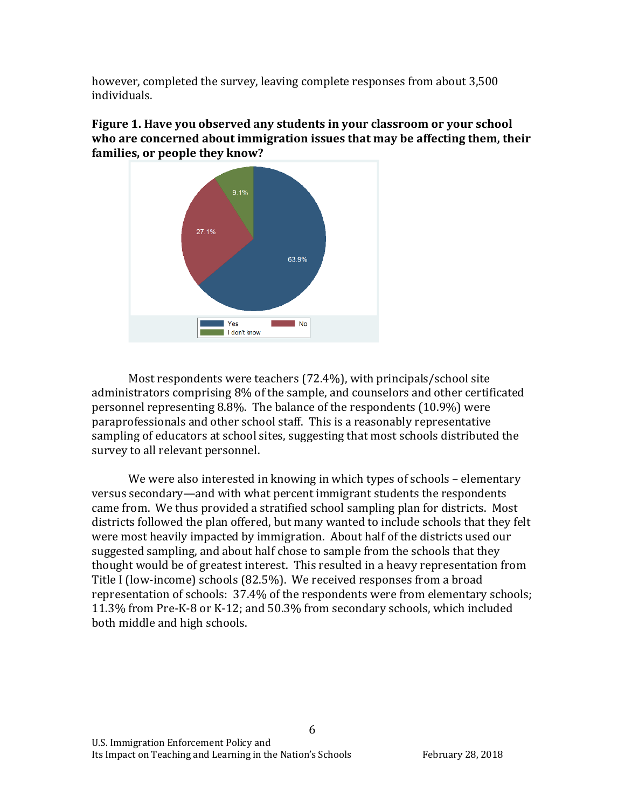however, completed the survey, leaving complete responses from about 3,500 individuals. 





Most respondents were teachers  $(72.4\%)$ , with principals/school site administrators comprising 8% of the sample, and counselors and other certificated personnel representing  $8.8\%$ . The balance of the respondents  $(10.9\%)$  were paraprofessionals and other school staff. This is a reasonably representative sampling of educators at school sites, suggesting that most schools distributed the survey to all relevant personnel.

We were also interested in knowing in which types of schools – elementary versus secondary—and with what percent immigrant students the respondents came from. We thus provided a stratified school sampling plan for districts. Most districts followed the plan offered, but many wanted to include schools that they felt were most heavily impacted by immigration. About half of the districts used our suggested sampling, and about half chose to sample from the schools that they thought would be of greatest interest. This resulted in a heavy representation from Title I (low-income) schools (82.5%). We received responses from a broad representation of schools: 37.4% of the respondents were from elementary schools; 11.3% from Pre-K-8 or K-12; and 50.3% from secondary schools, which included both middle and high schools.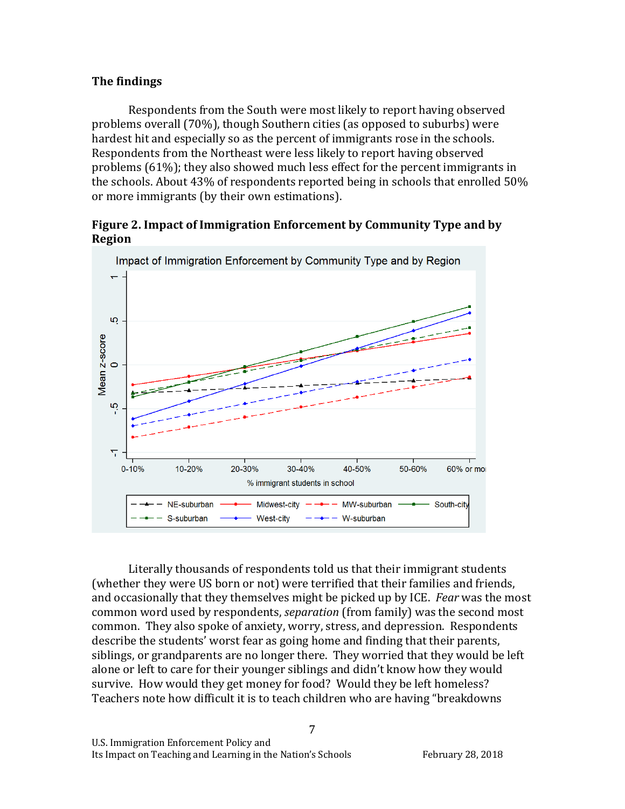#### **The findings**

Respondents from the South were most likely to report having observed problems overall (70%), though Southern cities (as opposed to suburbs) were hardest hit and especially so as the percent of immigrants rose in the schools. Respondents from the Northeast were less likely to report having observed problems  $(61%)$ ; they also showed much less effect for the percent immigrants in the schools. About  $43\%$  of respondents reported being in schools that enrolled  $50\%$ or more immigrants (by their own estimations).

#### **Figure 2. Impact of Immigration Enforcement by Community Type and by Region**



Literally thousands of respondents told us that their immigrant students (whether they were US born or not) were terrified that their families and friends, and occasionally that they themselves might be picked up by ICE. *Fear* was the most common word used by respondents, *separation* (from family) was the second most common. They also spoke of anxiety, worry, stress, and depression. Respondents describe the students' worst fear as going home and finding that their parents, siblings, or grandparents are no longer there. They worried that they would be left alone or left to care for their younger siblings and didn't know how they would survive. How would they get money for food? Would they be left homeless? Teachers note how difficult it is to teach children who are having "breakdowns"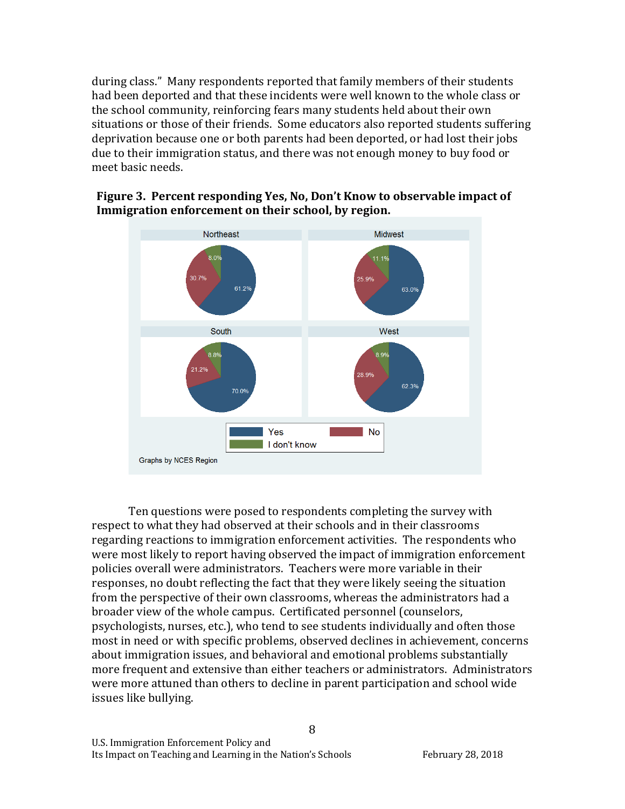during class." Many respondents reported that family members of their students had been deported and that these incidents were well known to the whole class or the school community, reinforcing fears many students held about their own situations or those of their friends. Some educators also reported students suffering deprivation because one or both parents had been deported, or had lost their jobs due to their immigration status, and there was not enough money to buy food or meet basic needs.

## Figure 3. Percent responding Yes, No, Don't Know to observable impact of Immigration enforcement on their school, by region.



Ten questions were posed to respondents completing the survey with respect to what they had observed at their schools and in their classrooms regarding reactions to immigration enforcement activities. The respondents who were most likely to report having observed the impact of immigration enforcement policies overall were administrators. Teachers were more variable in their responses, no doubt reflecting the fact that they were likely seeing the situation from the perspective of their own classrooms, whereas the administrators had a broader view of the whole campus. Certificated personnel (counselors, psychologists, nurses, etc.), who tend to see students individually and often those most in need or with specific problems, observed declines in achievement, concerns about immigration issues, and behavioral and emotional problems substantially more frequent and extensive than either teachers or administrators. Administrators were more attuned than others to decline in parent participation and school wide issues like bullying.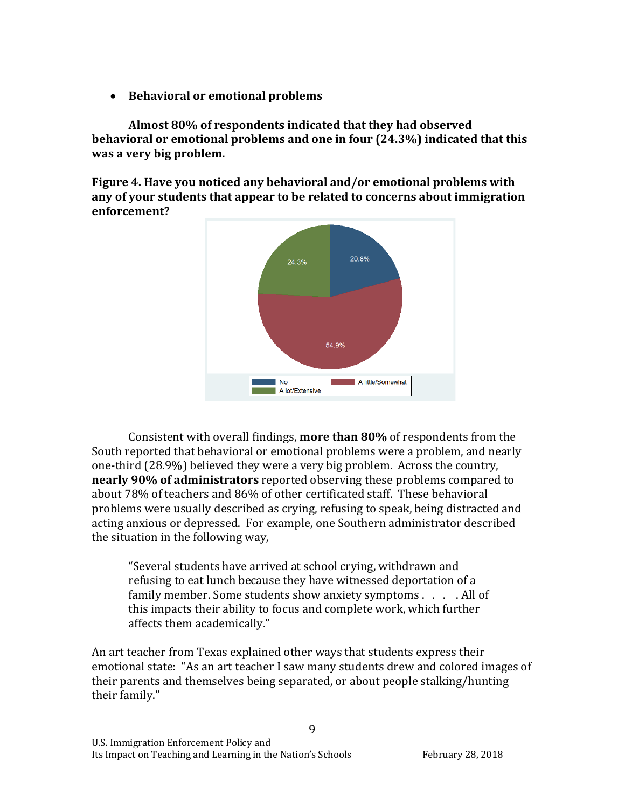• Behavioral or emotional problems

Almost 80% of respondents indicated that they had observed **behavioral or emotional problems and one in four (24.3%) indicated that this was a very big problem.** 

**Figure 4. Have you noticed any behavioral and/or emotional problems with** any of your students that appear to be related to concerns about immigration **enforcement?**



Consistent with overall findings, **more than 80%** of respondents from the South reported that behavioral or emotional problems were a problem, and nearly one-third  $(28.9\%)$  believed they were a very big problem. Across the country, **nearly 90% of administrators** reported observing these problems compared to about 78% of teachers and 86% of other certificated staff. These behavioral problems were usually described as crying, refusing to speak, being distracted and acting anxious or depressed. For example, one Southern administrator described the situation in the following way,

"Several students have arrived at school crying, withdrawn and refusing to eat lunch because they have witnessed deportation of a family member. Some students show anxiety symptoms  $\ldots$  . All of this impacts their ability to focus and complete work, which further affects them academically."

An art teacher from Texas explained other ways that students express their emotional state: "As an art teacher I saw many students drew and colored images of their parents and themselves being separated, or about people stalking/hunting their family."

 $\mathbf{q}$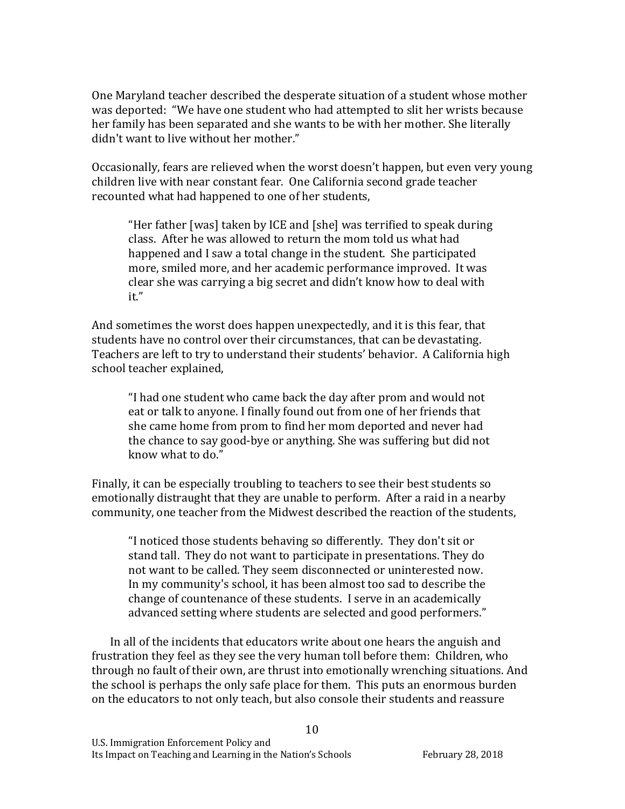One Maryland teacher described the desperate situation of a student whose mother was deported: "We have one student who had attempted to slit her wrists because her family has been separated and she wants to be with her mother. She literally didn't want to live without her mother."

Occasionally, fears are relieved when the worst doesn't happen, but even very young children live with near constant fear. One California second grade teacher recounted what had happened to one of her students,

"Her father [was] taken by ICE and [she] was terrified to speak during class. After he was allowed to return the mom told us what had happened and I saw a total change in the student. She participated more, smiled more, and her academic performance improved. It was clear she was carrying a big secret and didn't know how to deal with it."

And sometimes the worst does happen unexpectedly, and it is this fear, that students have no control over their circumstances, that can be devastating. Teachers are left to try to understand their students' behavior. A California high school teacher explained,

"I had one student who came back the day after prom and would not eat or talk to anyone. I finally found out from one of her friends that she came home from prom to find her mom deported and never had the chance to say good-bye or anything. She was suffering but did not know what to do."

Finally, it can be especially troubling to teachers to see their best students so emotionally distraught that they are unable to perform. After a raid in a nearby community, one teacher from the Midwest described the reaction of the students,

"I noticed those students behaving so differently. They don't sit or stand tall. They do not want to participate in presentations. They do not want to be called. They seem disconnected or uninterested now. In my community's school, it has been almost too sad to describe the change of countenance of these students. I serve in an academically advanced setting where students are selected and good performers."

In all of the incidents that educators write about one hears the anguish and frustration they feel as they see the very human toll before them: Children, who through no fault of their own, are thrust into emotionally wrenching situations. And the school is perhaps the only safe place for them. This puts an enormous burden on the educators to not only teach, but also console their students and reassure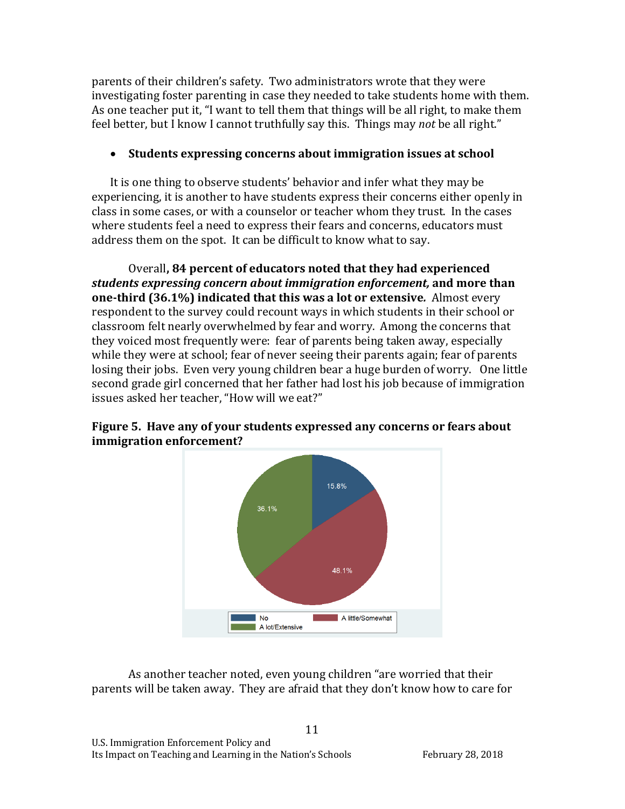parents of their children's safety. Two administrators wrote that they were investigating foster parenting in case they needed to take students home with them. As one teacher put it, "I want to tell them that things will be all right, to make them feel better, but I know I cannot truthfully say this. Things may *not* be all right."

## • Students expressing concerns about immigration issues at school

It is one thing to observe students' behavior and infer what they may be experiencing, it is another to have students express their concerns either openly in class in some cases, or with a counselor or teacher whom they trust. In the cases where students feel a need to express their fears and concerns, educators must address them on the spot. It can be difficult to know what to say.

Overall, 84 percent of educators noted that they had experienced students expressing concern about *immigration* enforcement, and more than **one-third (36.1%) indicated that this was a lot or extensive.** Almost every respondent to the survey could recount ways in which students in their school or classroom felt nearly overwhelmed by fear and worry. Among the concerns that they voiced most frequently were: fear of parents being taken away, especially while they were at school; fear of never seeing their parents again; fear of parents losing their jobs. Even very young children bear a huge burden of worry. One little second grade girl concerned that her father had lost his job because of immigration issues asked her teacher, "How will we eat?"



Figure 5. Have any of your students expressed any concerns or fears about **immigration enforcement?** 

As another teacher noted, even young children "are worried that their parents will be taken away. They are afraid that they don't know how to care for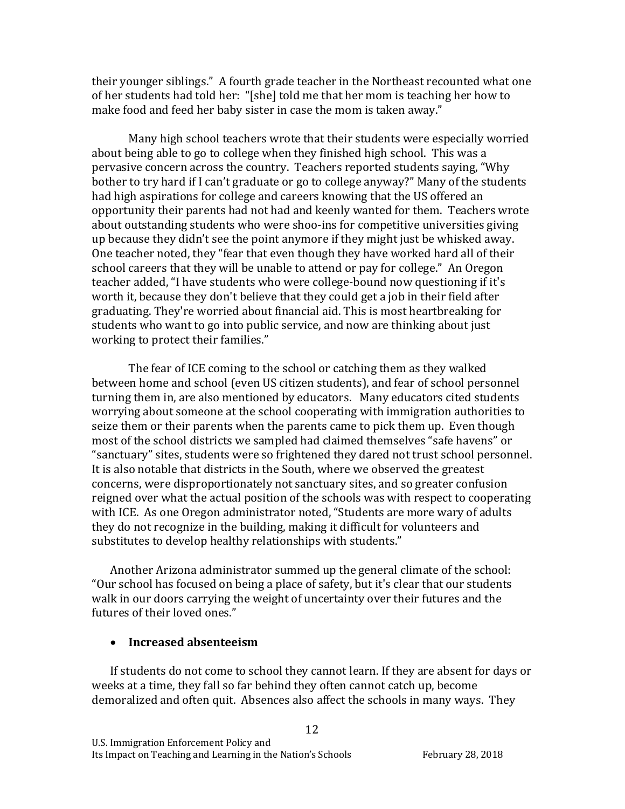their younger siblings." A fourth grade teacher in the Northeast recounted what one of her students had told her: "[she] told me that her mom is teaching her how to make food and feed her baby sister in case the mom is taken away."

Many high school teachers wrote that their students were especially worried about being able to go to college when they finished high school. This was a pervasive concern across the country. Teachers reported students saying, "Why bother to try hard if I can't graduate or go to college anyway?" Many of the students had high aspirations for college and careers knowing that the US offered an opportunity their parents had not had and keenly wanted for them. Teachers wrote about outstanding students who were shoo-ins for competitive universities giving up because they didn't see the point anymore if they might just be whisked away. One teacher noted, they "fear that even though they have worked hard all of their school careers that they will be unable to attend or pay for college." An Oregon teacher added, "I have students who were college-bound now questioning if it's worth it, because they don't believe that they could get a job in their field after graduating. They're worried about financial aid. This is most heartbreaking for students who want to go into public service, and now are thinking about just working to protect their families."

The fear of ICE coming to the school or catching them as they walked between home and school (even US citizen students), and fear of school personnel turning them in, are also mentioned by educators. Many educators cited students worrying about someone at the school cooperating with immigration authorities to seize them or their parents when the parents came to pick them up. Even though most of the school districts we sampled had claimed themselves "safe havens" or "sanctuary" sites, students were so frightened they dared not trust school personnel. It is also notable that districts in the South, where we observed the greatest concerns, were disproportionately not sanctuary sites, and so greater confusion reigned over what the actual position of the schools was with respect to cooperating with ICE. As one Oregon administrator noted, "Students are more wary of adults they do not recognize in the building, making it difficult for volunteers and substitutes to develop healthy relationships with students."

Another Arizona administrator summed up the general climate of the school: "Our school has focused on being a place of safety, but it's clear that our students walk in our doors carrying the weight of uncertainty over their futures and the futures of their loved ones."

#### • **Increased absenteeism**

If students do not come to school they cannot learn. If they are absent for days or weeks at a time, they fall so far behind they often cannot catch up, become demoralized and often quit. Absences also affect the schools in many ways. They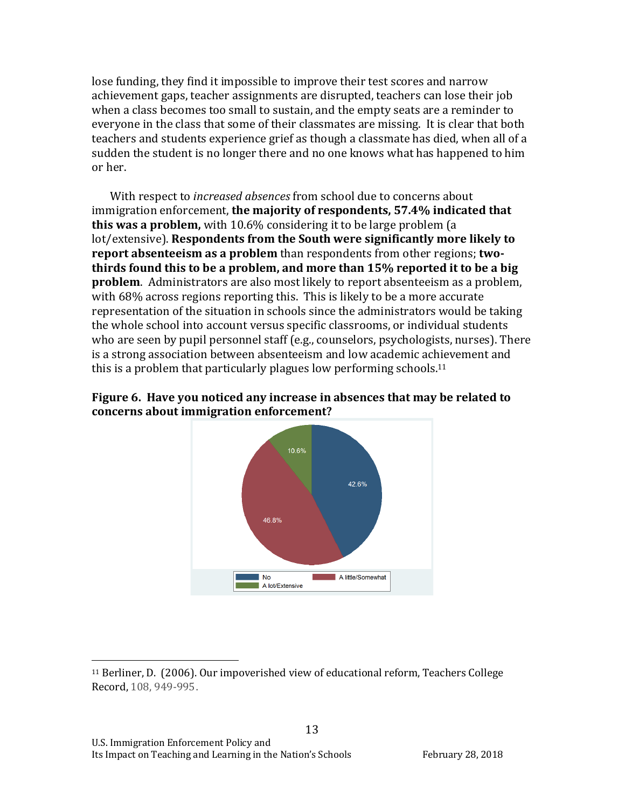lose funding, they find it impossible to improve their test scores and narrow achievement gaps, teacher assignments are disrupted, teachers can lose their job when a class becomes too small to sustain, and the empty seats are a reminder to everyone in the class that some of their classmates are missing. It is clear that both teachers and students experience grief as though a classmate has died, when all of a sudden the student is no longer there and no one knows what has happened to him or her. 

With respect to *increased absences* from school due to concerns about immigration enforcement, the majority of respondents, 57.4% indicated that **this was a problem,** with 10.6% considering it to be large problem (a lot/extensive). **Respondents from the South were significantly more likely to report absenteeism as a problem** than respondents from other regions; **two**thirds found this to be a problem, and more than 15% reported it to be a big **problem**. Administrators are also most likely to report absenteeism as a problem, with 68% across regions reporting this. This is likely to be a more accurate representation of the situation in schools since the administrators would be taking the whole school into account versus specific classrooms, or individual students who are seen by pupil personnel staff (e.g., counselors, psychologists, nurses). There is a strong association between absenteeism and low academic achievement and this is a problem that particularly plagues low performing schools.<sup>11</sup>



## **Figure 6.** Have you noticed any increase in absences that may be related to concerns about immigration enforcement?

13

<sup>&</sup>lt;sup>11</sup> Berliner, D. (2006). Our impoverished view of educational reform, Teachers College Record, 108, 949-995.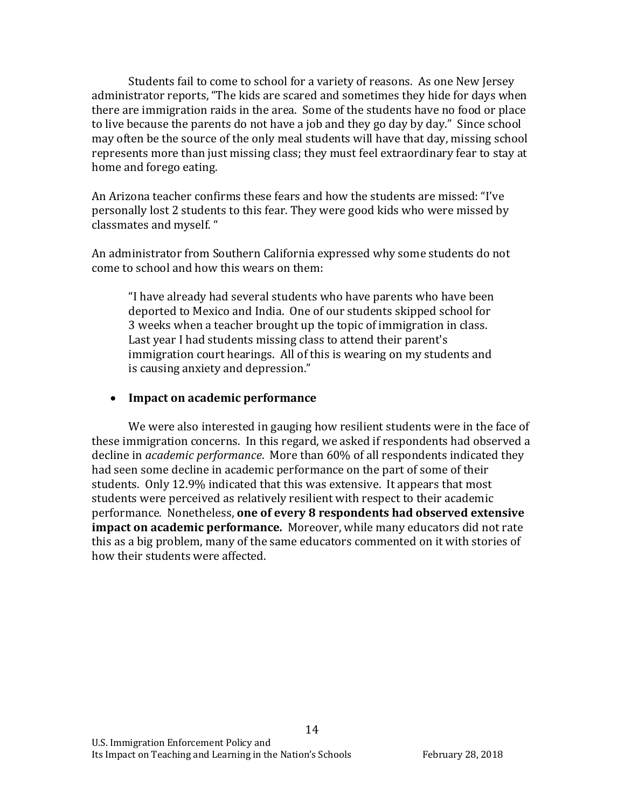Students fail to come to school for a variety of reasons. As one New Jersey administrator reports, "The kids are scared and sometimes they hide for days when there are immigration raids in the area. Some of the students have no food or place to live because the parents do not have a job and they go day by day." Since school may often be the source of the only meal students will have that day, missing school represents more than just missing class; they must feel extraordinary fear to stay at home and forego eating.

An Arizona teacher confirms these fears and how the students are missed: "I've personally lost 2 students to this fear. They were good kids who were missed by classmates and myself. "

An administrator from Southern California expressed why some students do not come to school and how this wears on them:

"I have already had several students who have parents who have been deported to Mexico and India. One of our students skipped school for 3 weeks when a teacher brought up the topic of immigration in class. Last year I had students missing class to attend their parent's immigration court hearings. All of this is wearing on my students and is causing anxiety and depression."

#### • **Impact on academic performance**

We were also interested in gauging how resilient students were in the face of these immigration concerns. In this regard, we asked if respondents had observed a decline in *academic performance*. More than 60% of all respondents indicated they had seen some decline in academic performance on the part of some of their students. Only 12.9% indicated that this was extensive. It appears that most students were perceived as relatively resilient with respect to their academic performance. Nonetheless, one of every 8 respondents had observed extensive **impact on academic performance.** Moreover, while many educators did not rate this as a big problem, many of the same educators commented on it with stories of how their students were affected.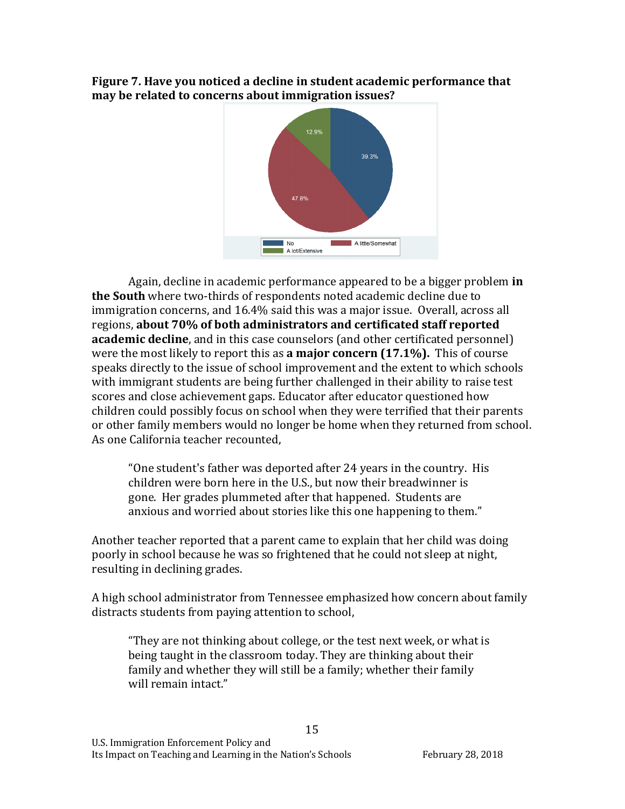**Figure 7. Have you noticed a decline in student academic performance that** may be related to concerns about immigration issues?



Again, decline in academic performance appeared to be a bigger problem **in the South** where two-thirds of respondents noted academic decline due to immigration concerns, and 16.4% said this was a major issue. Overall, across all regions, about 70% of both administrators and certificated staff reported **academic decline**, and in this case counselors (and other certificated personnel) were the most likely to report this as **a major concern (17.1%)**. This of course speaks directly to the issue of school improvement and the extent to which schools with immigrant students are being further challenged in their ability to raise test scores and close achievement gaps. Educator after educator questioned how children could possibly focus on school when they were terrified that their parents or other family members would no longer be home when they returned from school. As one California teacher recounted.

"One student's father was deported after 24 years in the country. His children were born here in the U.S., but now their breadwinner is gone. Her grades plummeted after that happened. Students are anxious and worried about stories like this one happening to them."

Another teacher reported that a parent came to explain that her child was doing poorly in school because he was so frightened that he could not sleep at night, resulting in declining grades.

A high school administrator from Tennessee emphasized how concern about family distracts students from paying attention to school,

"They are not thinking about college, or the test next week, or what is being taught in the classroom today. They are thinking about their family and whether they will still be a family; whether their family will remain intact."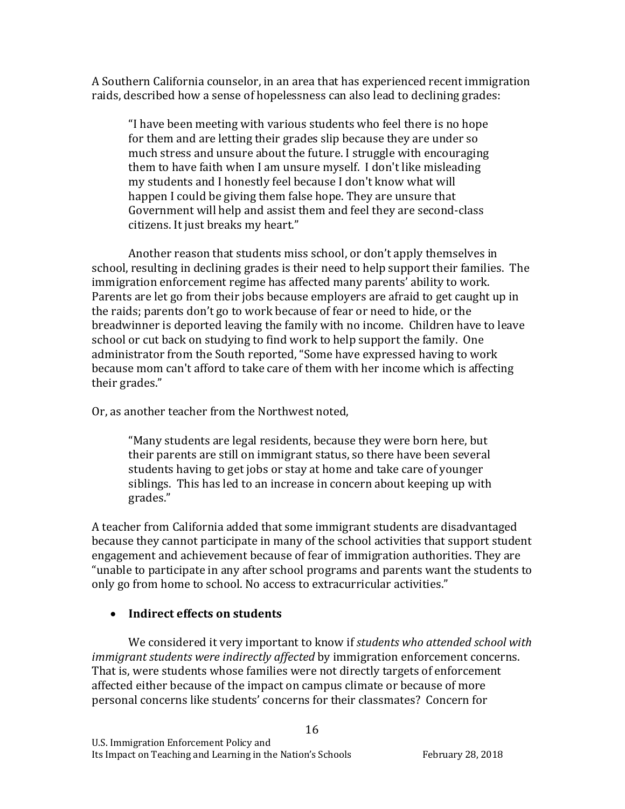A Southern California counselor, in an area that has experienced recent immigration raids, described how a sense of hopelessness can also lead to declining grades:

"I have been meeting with various students who feel there is no hope for them and are letting their grades slip because they are under so much stress and unsure about the future. I struggle with encouraging them to have faith when I am unsure myself. I don't like misleading my students and I honestly feel because I don't know what will happen I could be giving them false hope. They are unsure that Government will help and assist them and feel they are second-class citizens. It just breaks my heart."

Another reason that students miss school, or don't apply themselves in school, resulting in declining grades is their need to help support their families. The immigration enforcement regime has affected many parents' ability to work. Parents are let go from their jobs because employers are afraid to get caught up in the raids; parents don't go to work because of fear or need to hide, or the breadwinner is deported leaving the family with no income. Children have to leave school or cut back on studying to find work to help support the family. One administrator from the South reported, "Some have expressed having to work because mom can't afford to take care of them with her income which is affecting their grades."

Or, as another teacher from the Northwest noted,

"Many students are legal residents, because they were born here, but their parents are still on immigrant status, so there have been several students having to get jobs or stay at home and take care of younger siblings. This has led to an increase in concern about keeping up with grades."

A teacher from California added that some immigrant students are disadvantaged because they cannot participate in many of the school activities that support student engagement and achievement because of fear of immigration authorities. They are "unable to participate in any after school programs and parents want the students to only go from home to school. No access to extracurricular activities."

# • Indirect effects on students

We considered it very important to know if *students who attended school with immigrant students were indirectly affected* by *immigration enforcement concerns.* That is, were students whose families were not directly targets of enforcement affected either because of the impact on campus climate or because of more personal concerns like students' concerns for their classmates? Concern for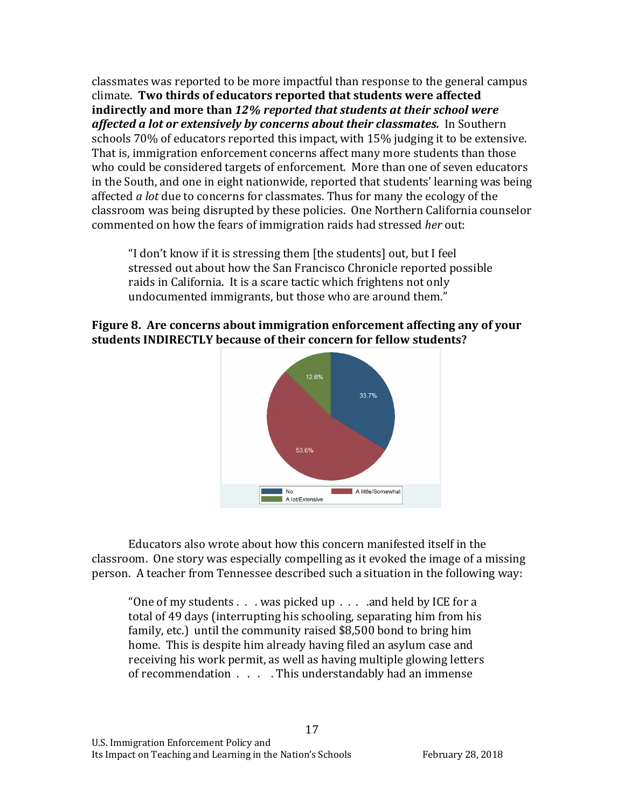classmates was reported to be more impactful than response to the general campus climate. Two thirds of educators reported that students were affected **indirectly** and more than 12% reported that students at their school were affected a lot or extensively by concerns about their classmates. In Southern schools 70% of educators reported this impact, with 15% judging it to be extensive. That is, immigration enforcement concerns affect many more students than those who could be considered targets of enforcement. More than one of seven educators in the South, and one in eight nationwide, reported that students' learning was being affected *a lot* due to concerns for classmates. Thus for many the ecology of the classroom was being disrupted by these policies. One Northern California counselor commented on how the fears of immigration raids had stressed *her* out:

"I don't know if it is stressing them [the students] out, but I feel stressed out about how the San Francisco Chronicle reported possible raids in California. It is a scare tactic which frightens not only undocumented immigrants, but those who are around them."

### Figure 8. Are concerns about immigration enforcement affecting any of your students **INDIRECTLY** because of their concern for fellow students?



Educators also wrote about how this concern manifested itself in the classroom. One story was especially compelling as it evoked the image of a missing person. A teacher from Tennessee described such a situation in the following way:

"One of my students  $\ldots$  was picked up  $\ldots$  and held by ICE for a total of 49 days (interrupting his schooling, separating him from his family, etc.) until the community raised  $$8,500$  bond to bring him home. This is despite him already having filed an asylum case and receiving his work permit, as well as having multiple glowing letters of recommendation  $\ldots$ . This understandably had an immense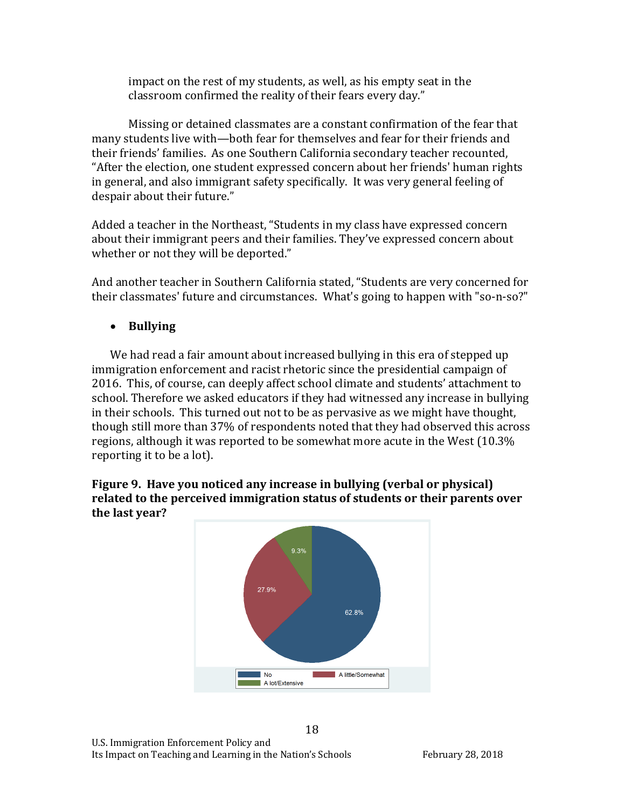impact on the rest of my students, as well, as his empty seat in the classroom confirmed the reality of their fears every day."

Missing or detained classmates are a constant confirmation of the fear that many students live with—both fear for themselves and fear for their friends and their friends' families. As one Southern California secondary teacher recounted, "After the election, one student expressed concern about her friends' human rights in general, and also immigrant safety specifically. It was very general feeling of despair about their future."

Added a teacher in the Northeast, "Students in my class have expressed concern about their immigrant peers and their families. They've expressed concern about whether or not they will be deported."

And another teacher in Southern California stated, "Students are very concerned for their classmates' future and circumstances. What's going to happen with "so-n-so?"

• **Bullying**

We had read a fair amount about increased bullying in this era of stepped up immigration enforcement and racist rhetoric since the presidential campaign of 2016. This, of course, can deeply affect school climate and students' attachment to school. Therefore we asked educators if they had witnessed any increase in bullying in their schools. This turned out not to be as pervasive as we might have thought, though still more than 37% of respondents noted that they had observed this across regions, although it was reported to be somewhat more acute in the West (10.3% reporting it to be a lot).



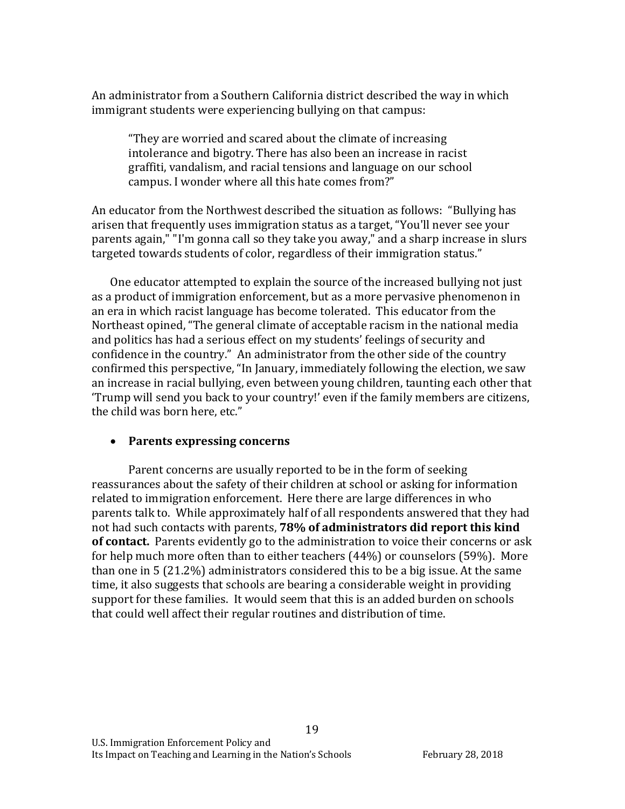An administrator from a Southern California district described the way in which immigrant students were experiencing bullying on that campus:

"They are worried and scared about the climate of increasing intolerance and bigotry. There has also been an increase in racist graffiti, vandalism, and racial tensions and language on our school campus. I wonder where all this hate comes from?"

An educator from the Northwest described the situation as follows: "Bullying has arisen that frequently uses immigration status as a target, "You'll never see your parents again," "I'm gonna call so they take you away," and a sharp increase in slurs targeted towards students of color, regardless of their immigration status."

One educator attempted to explain the source of the increased bullying not just as a product of immigration enforcement, but as a more pervasive phenomenon in an era in which racist language has become tolerated. This educator from the Northeast opined, "The general climate of acceptable racism in the national media and politics has had a serious effect on my students' feelings of security and confidence in the country." An administrator from the other side of the country confirmed this perspective, "In January, immediately following the election, we saw an increase in racial bullying, even between young children, taunting each other that 'Trump will send you back to your country!' even if the family members are citizens, the child was born here, etc."

### • Parents expressing concerns

Parent concerns are usually reported to be in the form of seeking reassurances about the safety of their children at school or asking for information related to immigration enforcement. Here there are large differences in who parents talk to. While approximately half of all respondents answered that they had not had such contacts with parents, **78% of administrators did report this kind** of contact. Parents evidently go to the administration to voice their concerns or ask for help much more often than to either teachers  $(44%)$  or counselors  $(59%)$ . More than one in 5  $(21.2%)$  administrators considered this to be a big issue. At the same time, it also suggests that schools are bearing a considerable weight in providing support for these families. It would seem that this is an added burden on schools that could well affect their regular routines and distribution of time.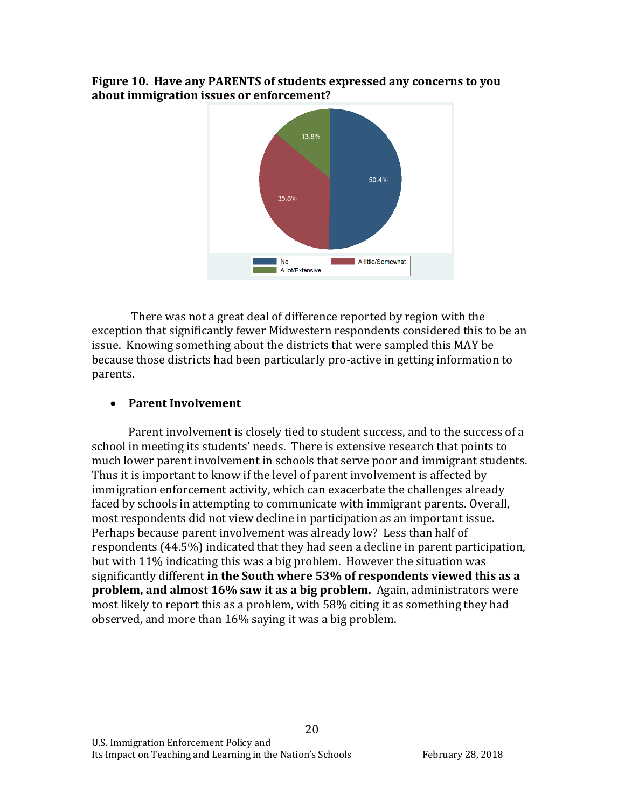#### **Figure 10. Have any PARENTS of students expressed any concerns to you** about immigration issues or enforcement?



There was not a great deal of difference reported by region with the exception that significantly fewer Midwestern respondents considered this to be an issue. Knowing something about the districts that were sampled this MAY be because those districts had been particularly pro-active in getting information to parents. 

## • Parent Involvement

Parent involvement is closely tied to student success, and to the success of a school in meeting its students' needs. There is extensive research that points to much lower parent involvement in schools that serve poor and immigrant students. Thus it is important to know if the level of parent involvement is affected by immigration enforcement activity, which can exacerbate the challenges already faced by schools in attempting to communicate with immigrant parents. Overall, most respondents did not view decline in participation as an important issue. Perhaps because parent involvement was already low? Less than half of respondents (44.5%) indicated that they had seen a decline in parent participation, but with 11% indicating this was a big problem. However the situation was significantly different in the South where 53% of respondents viewed this as a **problem, and almost 16% saw it as a big problem.** Again, administrators were most likely to report this as a problem, with 58% citing it as something they had observed, and more than  $16\%$  saying it was a big problem.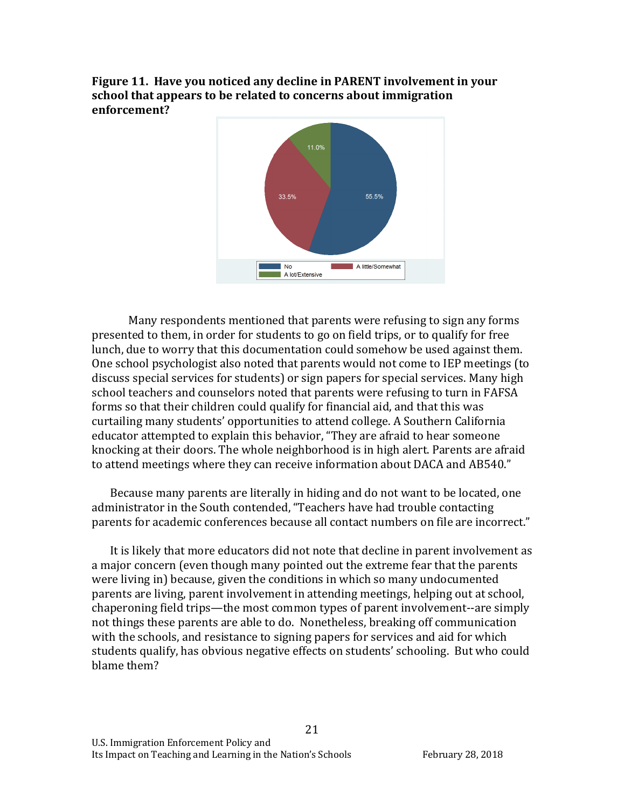Figure 11. Have you noticed any decline in PARENT involvement in your school that appears to be related to concerns about immigration **enforcement?**



Many respondents mentioned that parents were refusing to sign any forms presented to them, in order for students to go on field trips, or to qualify for free lunch, due to worry that this documentation could somehow be used against them. One school psychologist also noted that parents would not come to IEP meetings (to discuss special services for students) or sign papers for special services. Many high school teachers and counselors noted that parents were refusing to turn in FAFSA forms so that their children could qualify for financial aid, and that this was curtailing many students' opportunities to attend college. A Southern California educator attempted to explain this behavior, "They are afraid to hear someone knocking at their doors. The whole neighborhood is in high alert. Parents are afraid to attend meetings where they can receive information about DACA and AB540."

Because many parents are literally in hiding and do not want to be located, one administrator in the South contended, "Teachers have had trouble contacting parents for academic conferences because all contact numbers on file are incorrect."

It is likely that more educators did not note that decline in parent involvement as a major concern (even though many pointed out the extreme fear that the parents were living in) because, given the conditions in which so many undocumented parents are living, parent involvement in attending meetings, helping out at school, chaperoning field trips—the most common types of parent involvement--are simply not things these parents are able to do. Nonetheless, breaking off communication with the schools, and resistance to signing papers for services and aid for which students qualify, has obvious negative effects on students' schooling. But who could blame them?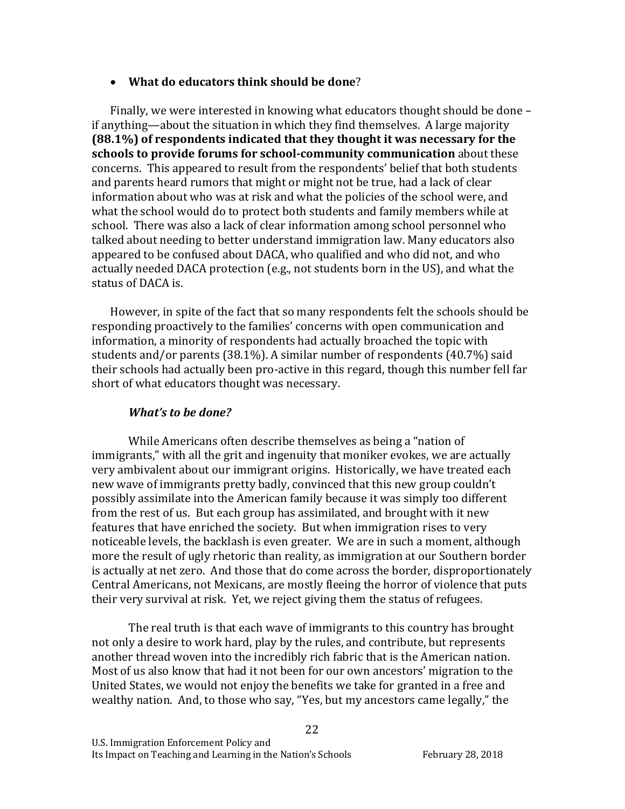#### • What do educators think should be done?

Finally, we were interested in knowing what educators thought should be done  $$ if anything—about the situation in which they find themselves. A large majority **(88.1%)** of respondents indicated that they thought it was necessary for the **schools to provide forums for school-community communication** about these concerns. This appeared to result from the respondents' belief that both students and parents heard rumors that might or might not be true, had a lack of clear information about who was at risk and what the policies of the school were, and what the school would do to protect both students and family members while at school. There was also a lack of clear information among school personnel who talked about needing to better understand immigration law. Many educators also appeared to be confused about DACA, who qualified and who did not, and who actually needed DACA protection (e.g., not students born in the US), and what the status of DACA is.

However, in spite of the fact that so many respondents felt the schools should be responding proactively to the families' concerns with open communication and information, a minority of respondents had actually broached the topic with students and/or parents  $(38.1\%)$ . A similar number of respondents  $(40.7\%)$  said their schools had actually been pro-active in this regard, though this number fell far short of what educators thought was necessary.

### *What's to be done?*

While Americans often describe themselves as being a "nation of immigrants," with all the grit and ingenuity that moniker evokes, we are actually very ambivalent about our immigrant origins. Historically, we have treated each new wave of immigrants pretty badly, convinced that this new group couldn't possibly assimilate into the American family because it was simply too different from the rest of us. But each group has assimilated, and brought with it new features that have enriched the society. But when immigration rises to very noticeable levels, the backlash is even greater. We are in such a moment, although more the result of ugly rhetoric than reality, as immigration at our Southern border is actually at net zero. And those that do come across the border, disproportionately Central Americans, not Mexicans, are mostly fleeing the horror of violence that puts their very survival at risk. Yet, we reject giving them the status of refugees.

The real truth is that each wave of immigrants to this country has brought not only a desire to work hard, play by the rules, and contribute, but represents another thread woven into the incredibly rich fabric that is the American nation. Most of us also know that had it not been for our own ancestors' migration to the United States, we would not enjoy the benefits we take for granted in a free and wealthy nation. And, to those who say, "Yes, but my ancestors came legally," the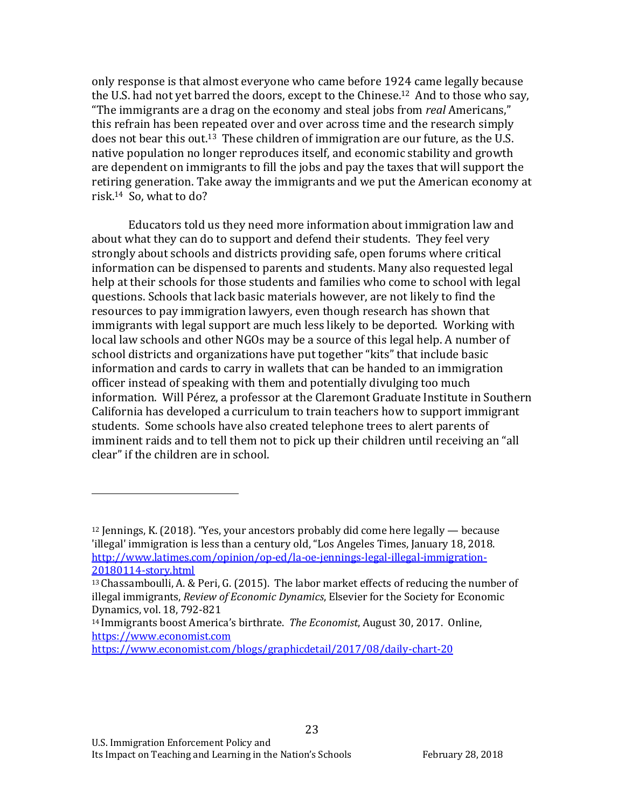only response is that almost everyone who came before 1924 came legally because the U.S. had not yet barred the doors, except to the Chinese.<sup>12</sup> And to those who say, "The immigrants are a drag on the economy and steal jobs from *real* Americans," this refrain has been repeated over and over across time and the research simply does not bear this out.<sup>13</sup> These children of immigration are our future, as the U.S. native population no longer reproduces itself, and economic stability and growth are dependent on immigrants to fill the jobs and pay the taxes that will support the retiring generation. Take away the immigrants and we put the American economy at risk.<sup>14</sup> So, what to do?

Educators told us they need more information about immigration law and about what they can do to support and defend their students. They feel very strongly about schools and districts providing safe, open forums where critical information can be dispensed to parents and students. Many also requested legal help at their schools for those students and families who come to school with legal questions. Schools that lack basic materials however, are not likely to find the resources to pay immigration lawyers, even though research has shown that immigrants with legal support are much less likely to be deported. Working with local law schools and other NGOs may be a source of this legal help. A number of school districts and organizations have put together "kits" that include basic information and cards to carry in wallets that can be handed to an immigration officer instead of speaking with them and potentially divulging too much information. Will Pérez, a professor at the Claremont Graduate Institute in Southern California has developed a curriculum to train teachers how to support immigrant students. Some schools have also created telephone trees to alert parents of imminent raids and to tell them not to pick up their children until receiving an "all clear" if the children are in school.

23

 $12$  Jennings, K. (2018). "Yes, your ancestors probably did come here legally — because 'illegal' immigration is less than a century old, "Los Angeles Times, January 18, 2018. http://www.latimes.com/opinion/op-ed/la-oe-jennings-legal-illegal-immigration-20180114-story.html 

 $13$  Chassamboulli, A. & Peri, G. (2015). The labor market effects of reducing the number of illegal immigrants, *Review of Economic Dynamics*, Elsevier for the Society for Economic Dynamics, vol. 18, 792-821

<sup>&</sup>lt;sup>14</sup> Immigrants boost America's birthrate. *The Economist*, August 30, 2017. Online, https://www.economist.com 

https://www.economist.com/blogs/graphicdetail/2017/08/daily-chart-20